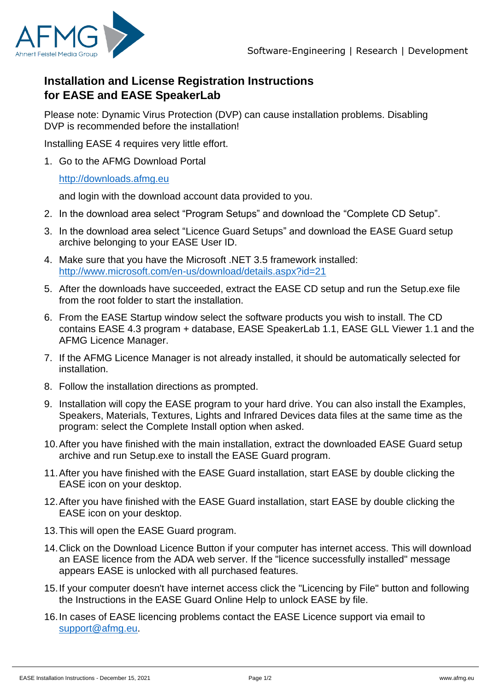

## **Installation and License Registration Instructions for EASE and EASE SpeakerLab**

Please note: Dynamic Virus Protection (DVP) can cause installation problems. Disabling DVP is recommended before the installation!

Installing EASE 4 requires very little effort.

1. Go to the AFMG Download Portal

## [http://downloads.afmg.eu](http://downloads.afmg.eu/)

and login with the download account data provided to you.

- 2. In the download area select "Program Setups" and download the "Complete CD Setup".
- 3. In the download area select "Licence Guard Setups" and download the EASE Guard setup archive belonging to your EASE User ID.
- 4. Make sure that you have the Microsoft .NET 3.5 framework installed: <http://www.microsoft.com/en-us/download/details.aspx?id=21>
- 5. After the downloads have succeeded, extract the EASE CD setup and run the Setup.exe file from the root folder to start the installation.
- 6. From the EASE Startup window select the software products you wish to install. The CD contains EASE 4.3 program + database, EASE SpeakerLab 1.1, EASE GLL Viewer 1.1 and the AFMG Licence Manager.
- 7. If the AFMG Licence Manager is not already installed, it should be automatically selected for installation.
- 8. Follow the installation directions as prompted.
- 9. Installation will copy the EASE program to your hard drive. You can also install the Examples, Speakers, Materials, Textures, Lights and Infrared Devices data files at the same time as the program: select the Complete Install option when asked.
- 10.After you have finished with the main installation, extract the downloaded EASE Guard setup archive and run Setup.exe to install the EASE Guard program.
- 11.After you have finished with the EASE Guard installation, start EASE by double clicking the EASE icon on your desktop.
- 12.After you have finished with the EASE Guard installation, start EASE by double clicking the EASE icon on your desktop.
- 13.This will open the EASE Guard program.
- 14.Click on the Download Licence Button if your computer has internet access. This will download an EASE licence from the ADA web server. If the "licence successfully installed" message appears EASE is unlocked with all purchased features.
- 15.If your computer doesn't have internet access click the "Licencing by File" button and following the Instructions in the EASE Guard Online Help to unlock EASE by file.
- 16.In cases of EASE licencing problems contact the EASE Licence support via email to [support@afmg.eu.](mailto:support@afmg.eu)